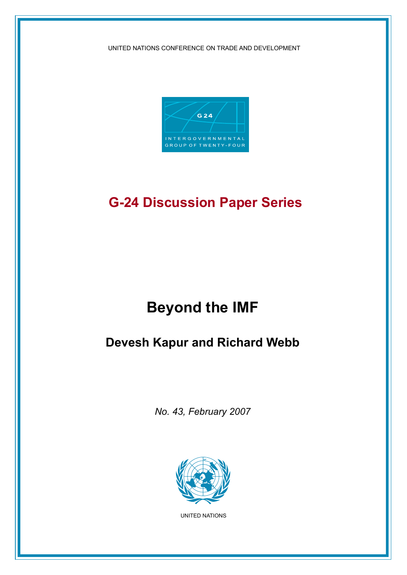UNITED NATIONS CONFERENCE ON TRADE AND DEVELOPMENT



# **G-24 Discussion Paper Series**

# **Beyond the IMF**

# **Devesh Kapur and Richard Webb**

*No. 43, February 2007*



UNITED NATIONS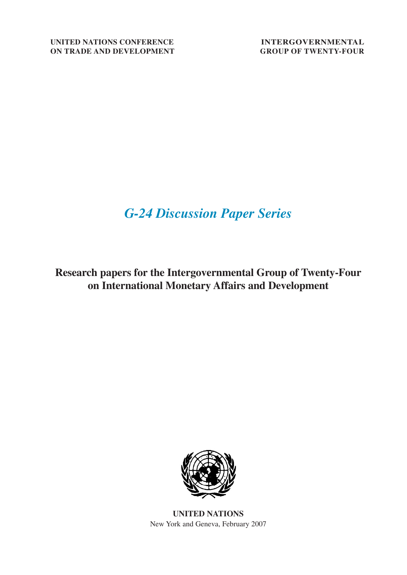# *G-24 Discussion Paper Series*

**Research papers for the Intergovernmental Group of Twenty-Four on International Monetary Affairs and Development**



**UNITED NATIONS** New York and Geneva, February 2007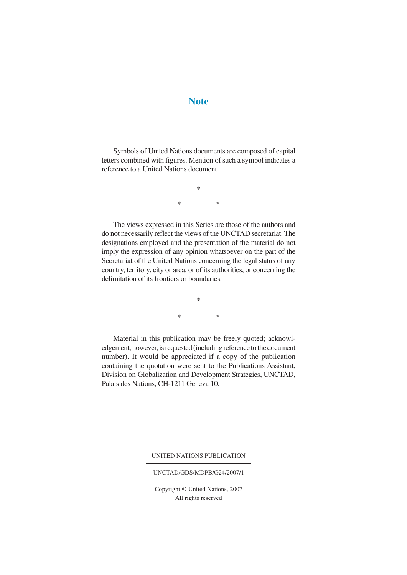## **Note**

Symbols of United Nations documents are composed of capital letters combined with figures. Mention of such a symbol indicates a reference to a United Nations document.

> \* \* \*

The views expressed in this Series are those of the authors and do not necessarily reflect the views of the UNCTAD secretariat. The designations employed and the presentation of the material do not imply the expression of any opinion whatsoever on the part of the Secretariat of the United Nations concerning the legal status of any country, territory, city or area, or of its authorities, or concerning the delimitation of its frontiers or boundaries.

> \* \* \*

Material in this publication may be freely quoted; acknowledgement, however, is requested (including reference to the document number). It would be appreciated if a copy of the publication containing the quotation were sent to the Publications Assistant, Division on Globalization and Development Strategies, UNCTAD, Palais des Nations, CH-1211 Geneva 10.

UNITED NATIONS PUBLICATION

#### UNCTAD/GDS/MDPB/G24/2007/1

Copyright © United Nations, 2007 All rights reserved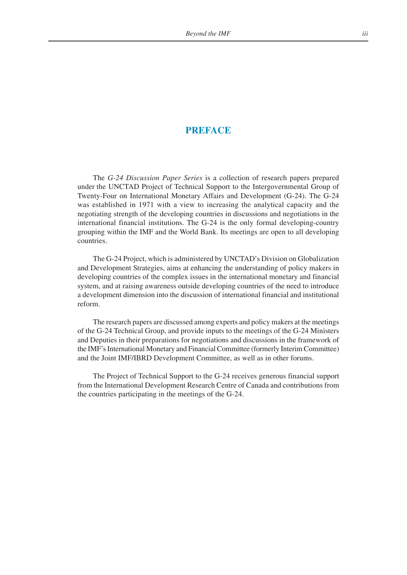## **PREFACE**

The *G-24 Discussion Paper Series* is a collection of research papers prepared under the UNCTAD Project of Technical Support to the Intergovernmental Group of Twenty-Four on International Monetary Affairs and Development (G-24). The G-24 was established in 1971 with a view to increasing the analytical capacity and the negotiating strength of the developing countries in discussions and negotiations in the international financial institutions. The G-24 is the only formal developing-country grouping within the IMF and the World Bank. Its meetings are open to all developing countries.

The G-24 Project, which is administered by UNCTAD's Division on Globalization and Development Strategies, aims at enhancing the understanding of policy makers in developing countries of the complex issues in the international monetary and financial system, and at raising awareness outside developing countries of the need to introduce a development dimension into the discussion of international financial and institutional reform.

The research papers are discussed among experts and policy makers at the meetings of the G-24 Technical Group, and provide inputs to the meetings of the G-24 Ministers and Deputies in their preparations for negotiations and discussions in the framework of the IMF's International Monetary and Financial Committee (formerly Interim Committee) and the Joint IMF/IBRD Development Committee, as well as in other forums.

The Project of Technical Support to the G-24 receives generous financial support from the International Development Research Centre of Canada and contributions from the countries participating in the meetings of the G-24.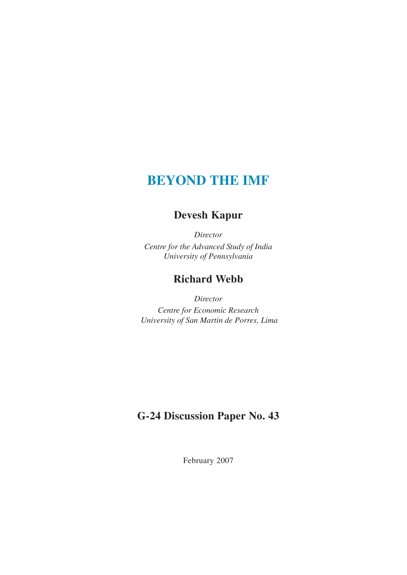# **BEYOND THE IMF**

## **Devesh Kapur**

*Director Centre for the Advanced Study of India University of Pennsylvania*

## **Richard Webb**

*Director Centre for Economic Research University of San Martin de Porres, Lima*

## **G-24 Discussion Paper No. 43**

February 2007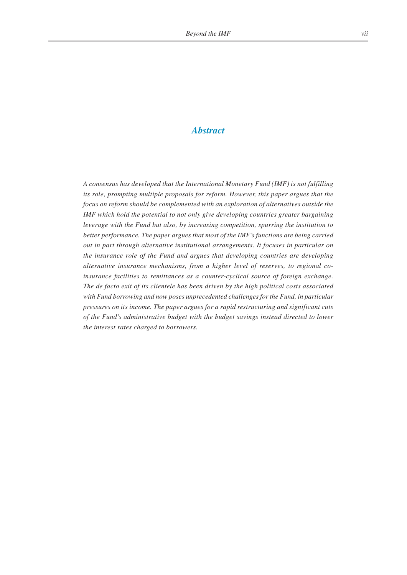## *Abstract*

*A consensus has developed that the International Monetary Fund (IMF) is not fulfilling its role, prompting multiple proposals for reform. However, this paper argues that the focus on reform should be complemented with an exploration of alternatives outside the IMF which hold the potential to not only give developing countries greater bargaining leverage with the Fund but also, by increasing competition, spurring the institution to better performance. The paper argues that most of the IMF's functions are being carried out in part through alternative institutional arrangements. It focuses in particular on the insurance role of the Fund and argues that developing countries are developing alternative insurance mechanisms, from a higher level of reserves, to regional coinsurance facilities to remittances as a counter-cyclical source of foreign exchange. The de facto exit of its clientele has been driven by the high political costs associated with Fund borrowing and now poses unprecedented challenges for the Fund, in particular pressures on its income. The paper argues for a rapid restructuring and significant cuts of the Fund's administrative budget with the budget savings instead directed to lower the interest rates charged to borrowers.*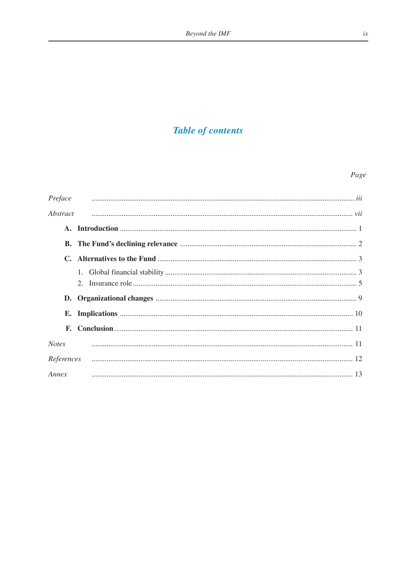## **Table of contents**

## Page

| Preface      |  |
|--------------|--|
| Abstract     |  |
|              |  |
|              |  |
|              |  |
|              |  |
|              |  |
|              |  |
|              |  |
|              |  |
| <b>Notes</b> |  |
| References   |  |
| Annex        |  |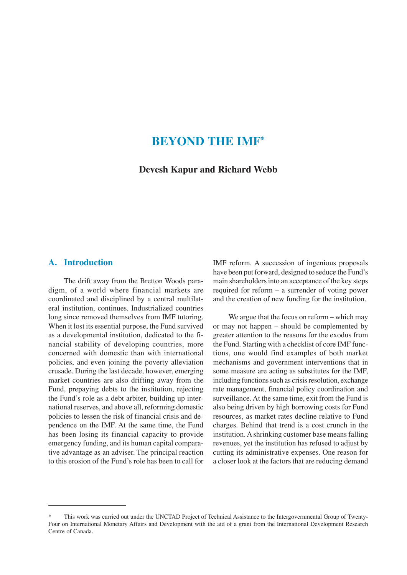## **BEYOND THE IMF\***

**Devesh Kapur and Richard Webb**

## **A. Introduction**

The drift away from the Bretton Woods paradigm, of a world where financial markets are coordinated and disciplined by a central multilateral institution, continues. Industrialized countries long since removed themselves from IMF tutoring. When it lost its essential purpose, the Fund survived as a developmental institution, dedicated to the financial stability of developing countries, more concerned with domestic than with international policies, and even joining the poverty alleviation crusade. During the last decade, however, emerging market countries are also drifting away from the Fund, prepaying debts to the institution, rejecting the Fund's role as a debt arbiter, building up international reserves, and above all, reforming domestic policies to lessen the risk of financial crisis and dependence on the IMF. At the same time, the Fund has been losing its financial capacity to provide emergency funding, and its human capital comparative advantage as an adviser. The principal reaction to this erosion of the Fund's role has been to call for

IMF reform. A succession of ingenious proposals have been put forward, designed to seduce the Fund's main shareholders into an acceptance of the key steps required for reform – a surrender of voting power and the creation of new funding for the institution.

We argue that the focus on reform – which may or may not happen – should be complemented by greater attention to the reasons for the exodus from the Fund. Starting with a checklist of core IMF functions, one would find examples of both market mechanisms and government interventions that in some measure are acting as substitutes for the IMF, including functions such as crisis resolution, exchange rate management, financial policy coordination and surveillance. At the same time, exit from the Fund is also being driven by high borrowing costs for Fund resources, as market rates decline relative to Fund charges. Behind that trend is a cost crunch in the institution. A shrinking customer base means falling revenues, yet the institution has refused to adjust by cutting its administrative expenses. One reason for a closer look at the factors that are reducing demand

This work was carried out under the UNCTAD Project of Technical Assistance to the Intergovernmental Group of Twenty-Four on International Monetary Affairs and Development with the aid of a grant from the International Development Research Centre of Canada.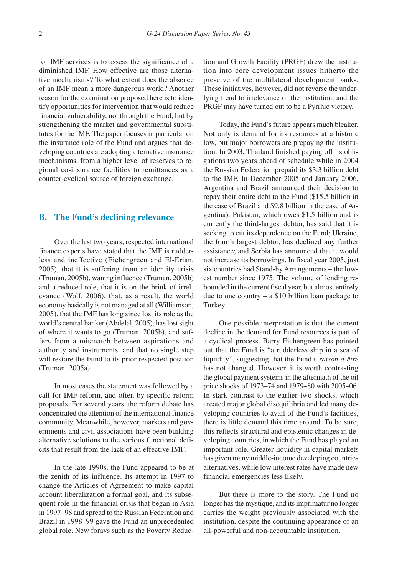for IMF services is to assess the significance of a diminished IMF. How effective are those alternative mechanisms? To what extent does the absence of an IMF mean a more dangerous world? Another reason for the examination proposed here is to identify opportunities for intervention that would reduce financial vulnerability, not through the Fund, but by strengthening the market and governmental substitutes for the IMF. The paper focuses in particular on the insurance role of the Fund and argues that developing countries are adopting alternative insurance mechanisms, from a higher level of reserves to regional co-insurance facilities to remittances as a counter-cyclical source of foreign exchange.

### **B. The Fund's declining relevance**

Over the last two years, respected international finance experts have stated that the IMF is rudderless and ineffective (Eichengreen and El-Erian, 2005), that it is suffering from an identity crisis (Truman, 2005b), waning influence (Truman, 2005b) and a reduced role, that it is on the brink of irrelevance (Wolf, 2006), that, as a result, the world economy basically is not managed at all (Williamson, 2005), that the IMF has long since lost its role as the world's central banker (Abdelal, 2005), has lost sight of where it wants to go (Truman, 2005b), and suffers from a mismatch between aspirations and authority and instruments, and that no single step will restore the Fund to its prior respected position (Truman, 2005a).

In most cases the statement was followed by a call for IMF reform, and often by specific reform proposals. For several years, the reform debate has concentrated the attention of the international finance community. Meanwhile, however, markets and governments and civil associations have been building alternative solutions to the various functional deficits that result from the lack of an effective IMF.

In the late 1990s, the Fund appeared to be at the zenith of its influence. Its attempt in 1997 to change the Articles of Agreement to make capital account liberalization a formal goal, and its subsequent role in the financial crisis that began in Asia in 1997–98 and spread to the Russian Federation and Brazil in 1998–99 gave the Fund an unprecedented global role. New forays such as the Poverty Reduction and Growth Facility (PRGF) drew the institution into core development issues hitherto the preserve of the multilateral development banks. These initiatives, however, did not reverse the underlying trend to irrelevance of the institution, and the PRGF may have turned out to be a Pyrrhic victory.

Today, the Fund's future appears much bleaker. Not only is demand for its resources at a historic low, but major borrowers are prepaying the institution. In 2003, Thailand finished paying off its obligations two years ahead of schedule while in 2004 the Russian Federation prepaid its \$3.3 billion debt to the IMF. In December 2005 and January 2006, Argentina and Brazil announced their decision to repay their entire debt to the Fund (\$15.5 billion in the case of Brazil and \$9.8 billion in the case of Argentina). Pakistan, which owes \$1.5 billion and is currently the third-largest debtor, has said that it is seeking to cut its dependence on the Fund; Ukraine, the fourth largest debtor, has declined any further assistance; and Serbia has announced that it would not increase its borrowings. In fiscal year 2005, just six countries had Stand-by Arrangements – the lowest number since 1975. The volume of lending rebounded in the current fiscal year, but almost entirely due to one country – a \$10 billion loan package to Turkey.

One possible interpretation is that the current decline in the demand for Fund resources is part of a cyclical process. Barry Eichengreen has pointed out that the Fund is "a rudderless ship in a sea of liquidity", suggesting that the Fund's *raison d'être* has not changed. However, it is worth contrasting the global payment systems in the aftermath of the oil price shocks of 1973–74 and 1979–80 with 2005–06. In stark contrast to the earlier two shocks, which created major global disequilibria and led many developing countries to avail of the Fund's facilities, there is little demand this time around. To be sure, this reflects structural and epistemic changes in developing countries, in which the Fund has played an important role. Greater liquidity in capital markets has given many middle-income developing countries alternatives, while low interest rates have made new financial emergencies less likely.

But there is more to the story. The Fund no longer has the mystique, and its imprimatur no longer carries the weight previously associated with the institution, despite the continuing appearance of an all-powerful and non-accountable institution.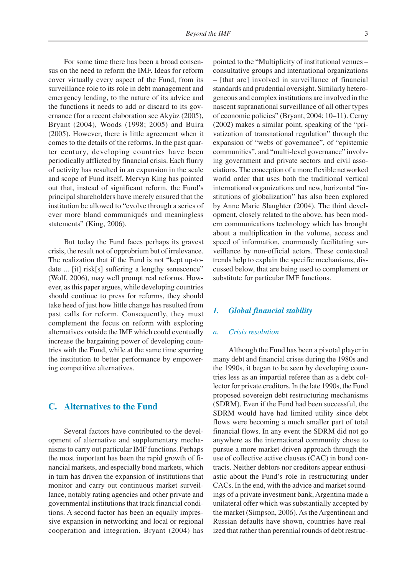For some time there has been a broad consensus on the need to reform the IMF. Ideas for reform cover virtually every aspect of the Fund, from its surveillance role to its role in debt management and emergency lending, to the nature of its advice and the functions it needs to add or discard to its governance (for a recent elaboration see Akyüz (2005), Bryant (2004), Woods (1998; 2005) and Buira (2005). However, there is little agreement when it comes to the details of the reforms. In the past quarter century, developing countries have been periodically afflicted by financial crisis. Each flurry of activity has resulted in an expansion in the scale and scope of Fund itself. Mervyn King has pointed out that, instead of significant reform, the Fund's principal shareholders have merely ensured that the institution be allowed to "evolve through a series of ever more bland communiqués and meaningless statements" (King, 2006).

But today the Fund faces perhaps its gravest crisis, the result not of opprobrium but of irrelevance. The realization that if the Fund is not "kept up-todate ... [it] risk[s] suffering a lengthy senescence" (Wolf, 2006), may well prompt real reforms. However, as this paper argues, while developing countries should continue to press for reforms, they should take heed of just how little change has resulted from past calls for reform. Consequently, they must complement the focus on reform with exploring alternatives outside the IMF which could eventually increase the bargaining power of developing countries with the Fund, while at the same time spurring the institution to better performance by empowering competitive alternatives.

## **C. Alternatives to the Fund**

Several factors have contributed to the development of alternative and supplementary mechanisms to carry out particular IMF functions. Perhaps the most important has been the rapid growth of financial markets, and especially bond markets, which in turn has driven the expansion of institutions that monitor and carry out continuous market surveillance, notably rating agencies and other private and governmental institutions that track financial conditions. A second factor has been an equally impressive expansion in networking and local or regional cooperation and integration. Bryant (2004) has pointed to the "Multiplicity of institutional venues – consultative groups and international organizations – [that are] involved in surveillance of financial standards and prudential oversight. Similarly heterogeneous and complex institutions are involved in the nascent supranational surveillance of all other types of economic policies" (Bryant, 2004: 10–11). Cerny (2002) makes a similar point, speaking of the "privatization of transnational regulation" through the expansion of "webs of governance", of "epistemic communities", and "multi-level governance" involving government and private sectors and civil associations. The conception of a more flexible networked world order that uses both the traditional vertical international organizations and new, horizontal "institutions of globalization" has also been explored by Anne Marie Slaughter (2004). The third development, closely related to the above, has been modern communications technology which has brought about a multiplication in the volume, access and speed of information, enormously facilitating surveillance by non-official actors. These contextual trends help to explain the specific mechanisms, discussed below, that are being used to complement or substitute for particular IMF functions.

#### *1. Global financial stability*

#### *a. Crisis resolution*

Although the Fund has been a pivotal player in many debt and financial crises during the 1980s and the 1990s, it began to be seen by developing countries less as an impartial referee than as a debt collector for private creditors. In the late 1990s, the Fund proposed sovereign debt restructuring mechanisms (SDRM). Even if the Fund had been successful, the SDRM would have had limited utility since debt flows were becoming a much smaller part of total financial flows. In any event the SDRM did not go anywhere as the international community chose to pursue a more market-driven approach through the use of collective active clauses (CAC) in bond contracts. Neither debtors nor creditors appear enthusiastic about the Fund's role in restructuring under CACs. In the end, with the advice and market soundings of a private investment bank, Argentina made a unilateral offer which was substantially accepted by the market (Simpson, 2006). As the Argentinean and Russian defaults have shown, countries have realized that rather than perennial rounds of debt restruc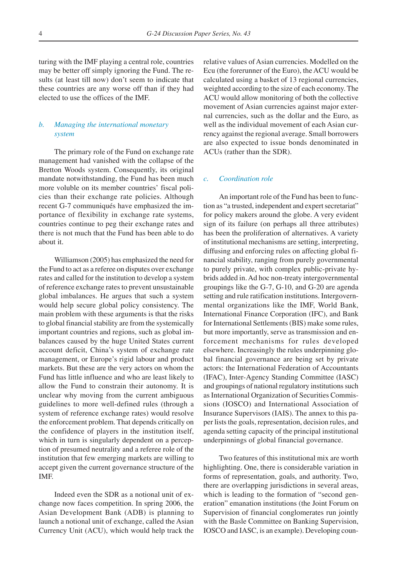turing with the IMF playing a central role, countries may be better off simply ignoring the Fund. The results (at least till now) don't seem to indicate that these countries are any worse off than if they had elected to use the offices of the IMF.

### *b. Managing the international monetary system*

The primary role of the Fund on exchange rate management had vanished with the collapse of the Bretton Woods system. Consequently, its original mandate notwithstanding, the Fund has been much more voluble on its member countries' fiscal policies than their exchange rate policies. Although recent G-7 communiqués have emphasized the importance of flexibility in exchange rate systems, countries continue to peg their exchange rates and there is not much that the Fund has been able to do about it.

Williamson (2005) has emphasized the need for the Fund to act as a referee on disputes over exchange rates and called for the institution to develop a system of reference exchange rates to prevent unsustainable global imbalances. He argues that such a system would help secure global policy consistency. The main problem with these arguments is that the risks to global financial stability are from the systemically important countries and regions, such as global imbalances caused by the huge United States current account deficit, China's system of exchange rate management, or Europe's rigid labour and product markets. But these are the very actors on whom the Fund has little influence and who are least likely to allow the Fund to constrain their autonomy. It is unclear why moving from the current ambiguous guidelines to more well-defined rules (through a system of reference exchange rates) would resolve the enforcement problem. That depends critically on the confidence of players in the institution itself, which in turn is singularly dependent on a perception of presumed neutrality and a referee role of the institution that few emerging markets are willing to accept given the current governance structure of the IMF.

Indeed even the SDR as a notional unit of exchange now faces competition. In spring 2006, the Asian Development Bank (ADB) is planning to launch a notional unit of exchange, called the Asian Currency Unit (ACU), which would help track the relative values of Asian currencies. Modelled on the Ecu (the forerunner of the Euro), the ACU would be calculated using a basket of 13 regional currencies, weighted according to the size of each economy. The ACU would allow monitoring of both the collective movement of Asian currencies against major external currencies, such as the dollar and the Euro, as well as the individual movement of each Asian currency against the regional average. Small borrowers are also expected to issue bonds denominated in ACUs (rather than the SDR).

#### *c. Coordination role*

An important role of the Fund has been to function as "a trusted, independent and expert secretariat" for policy makers around the globe. A very evident sign of its failure (on perhaps all three attributes) has been the proliferation of alternatives. A variety of institutional mechanisms are setting, interpreting, diffusing and enforcing rules on affecting global financial stability, ranging from purely governmental to purely private, with complex public-private hybrids added in. Ad hoc non-treaty intergovernmental groupings like the G-7, G-10, and G-20 are agenda setting and rule ratification institutions. Intergovernmental organizations like the IMF, World Bank, International Finance Corporation (IFC), and Bank for International Settlements (BIS) make some rules, but more importantly, serve as transmission and enforcement mechanisms for rules developed elsewhere. Increasingly the rules underpinning global financial governance are being set by private actors: the International Federation of Accountants (IFAC), Inter-Agency Standing Committee (IASC) and groupings of national regulatory institutions such as International Organization of Securities Commissions (IOSCO) and International Association of Insurance Supervisors (IAIS). The annex to this paper lists the goals, representation, decision rules, and agenda setting capacity of the principal institutional underpinnings of global financial governance.

Two features of this institutional mix are worth highlighting. One, there is considerable variation in forms of representation, goals, and authority. Two, there are overlapping jurisdictions in several areas, which is leading to the formation of "second generation" emanation institutions (the Joint Forum on Supervision of financial conglomerates run jointly with the Basle Committee on Banking Supervision, IOSCO and IASC, is an example). Developing coun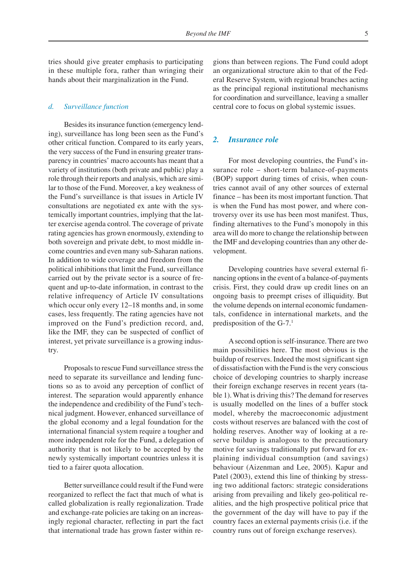tries should give greater emphasis to participating in these multiple fora, rather than wringing their hands about their marginalization in the Fund.

#### *d. Surveillance function*

Besides its insurance function (emergency lending), surveillance has long been seen as the Fund's other critical function. Compared to its early years, the very success of the Fund in ensuring greater transparency in countries' macro accounts has meant that a variety of institutions (both private and public) play a role through their reports and analysis, which are similar to those of the Fund. Moreover, a key weakness of the Fund's surveillance is that issues in Article IV consultations are negotiated ex ante with the systemically important countries, implying that the latter exercise agenda control. The coverage of private rating agencies has grown enormously, extending to both sovereign and private debt, to most middle income countries and even many sub-Saharan nations. In addition to wide coverage and freedom from the political inhibitions that limit the Fund, surveillance carried out by the private sector is a source of frequent and up-to-date information, in contrast to the relative infrequency of Article IV consultations which occur only every 12–18 months and, in some cases, less frequently. The rating agencies have not improved on the Fund's prediction record, and, like the IMF, they can be suspected of conflict of interest, yet private surveillance is a growing industry.

Proposals to rescue Fund surveillance stress the need to separate its surveillance and lending functions so as to avoid any perception of conflict of interest. The separation would apparently enhance the independence and credibility of the Fund's technical judgment. However, enhanced surveillance of the global economy and a legal foundation for the international financial system require a tougher and more independent role for the Fund, a delegation of authority that is not likely to be accepted by the newly systemically important countries unless it is tied to a fairer quota allocation.

Better surveillance could result if the Fund were reorganized to reflect the fact that much of what is called globalization is really regionalization. Trade and exchange-rate policies are taking on an increasingly regional character, reflecting in part the fact that international trade has grown faster within regions than between regions. The Fund could adopt an organizational structure akin to that of the Federal Reserve System, with regional branches acting as the principal regional institutional mechanisms for coordination and surveillance, leaving a smaller central core to focus on global systemic issues.

#### *2. Insurance role*

For most developing countries, the Fund's insurance role – short-term balance-of-payments (BOP) support during times of crisis, when countries cannot avail of any other sources of external finance – has been its most important function. That is when the Fund has most power, and where controversy over its use has been most manifest. Thus, finding alternatives to the Fund's monopoly in this area will do more to change the relationship between the IMF and developing countries than any other development.

Developing countries have several external financing options in the event of a balance-of-payments crisis. First, they could draw up credit lines on an ongoing basis to preempt crises of illiquidity. But the volume depends on internal economic fundamentals, confidence in international markets, and the predisposition of the  $G-7<sup>1</sup>$ 

A second option is self-insurance. There are two main possibilities here. The most obvious is the buildup of reserves. Indeed the most significant sign of dissatisfaction with the Fund is the very conscious choice of developing countries to sharply increase their foreign exchange reserves in recent years (table 1). What is driving this? The demand for reserves is usually modelled on the lines of a buffer stock model, whereby the macroeconomic adjustment costs without reserves are balanced with the cost of holding reserves. Another way of looking at a reserve buildup is analogous to the precautionary motive for savings traditionally put forward for explaining individual consumption (and savings) behaviour (Aizenman and Lee, 2005). Kapur and Patel (2003), extend this line of thinking by stressing two additional factors: strategic considerations arising from prevailing and likely geo-political realities, and the high prospective political price that the government of the day will have to pay if the country faces an external payments crisis (i.e. if the country runs out of foreign exchange reserves).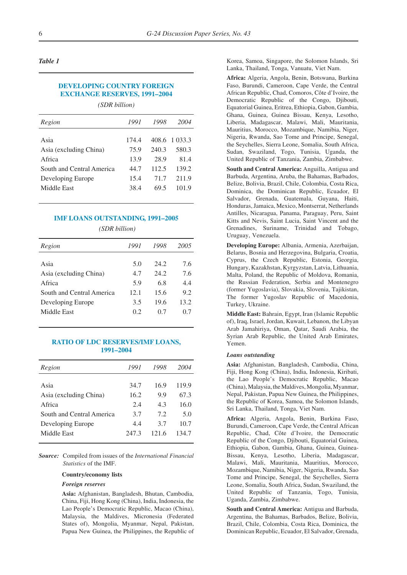#### *Table 1*

### **DEVELOPING COUNTRY FOREIGN EXCHANGE RESERVES, 1991–2004**

*(SDR billion)*

| Region                    | 1991  | 1998  | 2004    |
|---------------------------|-------|-------|---------|
| Asia                      | 174.4 | 408.6 | 1.033.3 |
| Asia (excluding China)    | 75.9  | 240.3 | 580.3   |
| Africa                    | 13.9  | 28.9  | 81.4    |
| South and Central America | 44.7  | 112.5 | 139.2   |
| Developing Europe         | 15.4  | 71.7  | 211.9   |
| Middle East               | 38.4  | 69.5  | 101.9   |

#### **IMF LOANS OUTSTANDING, 1991–2005**

*(SDR billion)*

| Region                    | 1991 | 1998 | 2005 |
|---------------------------|------|------|------|
|                           |      |      |      |
| Asia                      | 5.0  | 24.2 | 7.6  |
| Asia (excluding China)    | 4.7  | 24.2 | 7.6  |
| Africa                    | 5.9  | 6.8  | 4.4  |
| South and Central America | 12.1 | 15.6 | 9.2  |
| Developing Europe         | 3.5  | 19.6 | 13.2 |
| Middle East               | 0.2  | 0.7  | 0.7  |
|                           |      |      |      |

#### **RATIO OF LDC RESERVES/IMF LOANS, 1991–2004**

| Region                    | 1991  | 1998  | 2004  |
|---------------------------|-------|-------|-------|
|                           |       |       |       |
| Asia                      | 34.7  | 16.9  | 119.9 |
| Asia (excluding China)    | 16.2  | 9.9   | 67.3  |
| Africa                    | 2.4   | 4.3   | 16.0  |
| South and Central America | 3.7   | 7.2   | 5.0   |
| Developing Europe         | 4.4   | 3.7   | 10.7  |
| Middle East               | 247.3 | 121.6 | 134.7 |
|                           |       |       |       |

*Source:* Compiled from issues of the *International Financial Statistics* of the IMF.

#### **Country/economy lists**

#### *Foreign reserves*

**Asia:** Afghanistan, Bangladesh, Bhutan, Cambodia, China, Fiji, Hong Kong (China), India, Indonesia, the Lao People's Democratic Republic, Macao (China), Malaysia, the Maldives, Micronesia (Federated States of), Mongolia, Myanmar, Nepal, Pakistan, Papua New Guinea, the Philippines, the Republic of Korea, Samoa, Singapore, the Solomon Islands, Sri Lanka, Thailand, Tonga, Vanuatu, Viet Nam.

**Africa:** Algeria, Angola, Benin, Botswana, Burkina Faso, Burundi, Cameroon, Cape Verde, the Central African Republic, Chad, Comoros, Côte d'Ivoire, the Democratic Republic of the Congo, Djibouti, Equatorial Guinea, Eritrea, Ethiopia, Gabon, Gambia, Ghana, Guinea, Guinea Bissau, Kenya, Lesotho, Liberia, Madagascar, Malawi, Mali, Mauritania, Mauritius, Morocco, Mozambique, Namibia, Niger, Nigeria, Rwanda, Sao Tome and Principe, Senegal, the Seychelles, Sierra Leone, Somalia, South Africa, Sudan, Swaziland, Togo, Tunisia, Uganda, the United Republic of Tanzania, Zambia, Zimbabwe.

**South and Central America:** Anguilla, Antigua and Barbuda, Argentina, Aruba, the Bahamas, Barbados, Belize, Bolivia, Brazil, Chile, Colombia, Costa Rica, Dominica, the Dominican Republic, Ecuador, El Salvador, Grenada, Guatemala, Guyana, Haiti, Honduras, Jamaica, Mexico, Montserrat, Netherlands Antilles, Nicaragua, Panama, Paraguay, Peru, Saint Kitts and Nevis, Saint Lucia, Saint Vincent and the Grenadines, Suriname, Trinidad and Tobago, Uruguay, Venezuela.

**Developing Europe:** Albania, Armenia, Azerbaijan, Belarus, Bosnia and Herzegovina, Bulgaria, Croatia, Cyprus, the Czech Republic, Estonia, Georgia, Hungary, Kazakhstan, Kyrgyzstan, Latvia, Lithuania, Malta, Poland, the Republic of Moldova, Romania, the Russian Federation, Serbia and Montenegro (former Yugoslavia), Slovakia, Slovenia, Tajikistan, The former Yugoslav Republic of Macedonia, Turkey, Ukraine.

**Middle East:** Bahrain, Egypt, Iran (Islamic Republic of), Iraq, Israel, Jordan, Kuwait, Lebanon, the Libyan Arab Jamahiriya, Oman, Qatar, Saudi Arabia, the Syrian Arab Republic, the United Arab Emirates, Yemen.

#### *Loans outstanding*

**Asia:** Afghanistan, Bangladesh, Cambodia, China, Fiji, Hong Kong (China), India, Indonesia, Kiribati, the Lao People's Democratic Republic, Macao (China), Malaysia, the Maldives, Mongolia, Myanmar, Nepal, Pakistan, Papua New Guinea, the Philippines, the Republic of Korea, Samoa, the Solomon Islands, Sri Lanka, Thailand, Tonga, Viet Nam.

**Africa:** Algeria, Angola, Benin, Burkina Faso, Burundi, Cameroon, Cape Verde, the Central African Republic, Chad, Côte d'Ivoire, the Democratic Republic of the Congo, Djibouti, Equatorial Guinea, Ethiopia, Gabon, Gambia, Ghana, Guinea, Guinea-Bissau, Kenya, Lesotho, Liberia, Madagascar, Malawi, Mali, Mauritania, Mauritius, Morocco, Mozambique, Namibia, Niger, Nigeria, Rwanda, Sao Tome and Principe, Senegal, the Seychelles, Sierra Leone, Somalia, South Africa, Sudan, Swaziland, the United Republic of Tanzania, Togo, Tunisia, Uganda, Zambia, Zimbabwe.

**South and Central America:** Antigua and Barbuda, Argentina, the Bahamas, Barbados, Belize, Bolivia, Brazil, Chile, Colombia, Costa Rica, Dominica, the Dominican Republic, Ecuador, El Salvador, Grenada,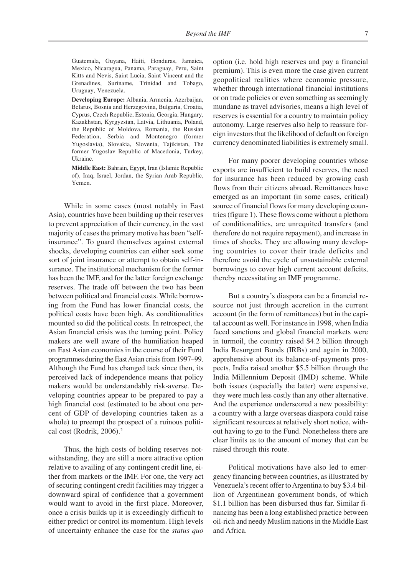Guatemala, Guyana, Haiti, Honduras, Jamaica, Mexico, Nicaragua, Panama, Paraguay, Peru, Saint Kitts and Nevis, Saint Lucia, Saint Vincent and the Grenadines, Suriname, Trinidad and Tobago, Uruguay, Venezuela.

**Developing Europe:** Albania, Armenia, Azerbaijan, Belarus, Bosnia and Herzegovina, Bulgaria, Croatia, Cyprus, Czech Republic, Estonia, Georgia, Hungary, Kazakhstan, Kyrgyzstan, Latvia, Lithuania, Poland, the Republic of Moldova, Romania, the Russian Federation, Serbia and Montenegro (former Yugoslavia), Slovakia, Slovenia, Tajikistan, The former Yugoslav Republic of Macedonia, Turkey, Ukraine.

**Middle East:** Bahrain, Egypt, Iran (Islamic Republic of), Iraq, Israel, Jordan, the Syrian Arab Republic, Yemen.

While in some cases (most notably in East Asia), countries have been building up their reserves to prevent appreciation of their currency, in the vast majority of cases the primary motive has been "selfinsurance". To guard themselves against external shocks, developing countries can either seek some sort of joint insurance or attempt to obtain self-insurance. The institutional mechanism for the former has been the IMF, and for the latter foreign exchange reserves. The trade off between the two has been between political and financial costs. While borrowing from the Fund has lower financial costs, the political costs have been high. As conditionalities mounted so did the political costs. In retrospect, the Asian financial crisis was the turning point. Policy makers are well aware of the humiliation heaped on East Asian economies in the course of their Fund programmes during the East Asian crisis from 1997–99. Although the Fund has changed tack since then, its perceived lack of independence means that policy makers would be understandably risk-averse. Developing countries appear to be prepared to pay a high financial cost (estimated to be about one percent of GDP of developing countries taken as a whole) to preempt the prospect of a ruinous political cost (Rodrik, 2006).<sup>2</sup>

Thus, the high costs of holding reserves notwithstanding, they are still a more attractive option relative to availing of any contingent credit line, either from markets or the IMF. For one, the very act of securing contingent credit facilities may trigger a downward spiral of confidence that a government would want to avoid in the first place. Moreover, once a crisis builds up it is exceedingly difficult to either predict or control its momentum. High levels of uncertainty enhance the case for the *status quo*

option (i.e. hold high reserves and pay a financial premium). This is even more the case given current geopolitical realities where economic pressure, whether through international financial institutions or on trade policies or even something as seemingly mundane as travel advisories, means a high level of reserves is essential for a country to maintain policy autonomy. Large reserves also help to reassure foreign investors that the likelihood of default on foreign currency denominated liabilities is extremely small.

For many poorer developing countries whose exports are insufficient to build reserves, the need for insurance has been reduced by growing cash flows from their citizens abroad. Remittances have emerged as an important (in some cases, critical) source of financial flows for many developing countries (figure 1). These flows come without a plethora of conditionalities, are unrequited transfers (and therefore do not require repayment), and increase in times of shocks. They are allowing many developing countries to cover their trade deficits and therefore avoid the cycle of unsustainable external borrowings to cover high current account deficits, thereby necessitating an IMF programme.

But a country's diaspora can be a financial resource not just through accretion in the current account (in the form of remittances) but in the capital account as well. For instance in 1998, when India faced sanctions and global financial markets were in turmoil, the country raised \$4.2 billion through India Resurgent Bonds (IRBs) and again in 2000, apprehensive about its balance-of-payments prospects, India raised another \$5.5 billion through the India Millennium Deposit (IMD) scheme. While both issues (especially the latter) were expensive, they were much less costly than any other alternative. And the experience underscored a new possibility: a country with a large overseas diaspora could raise significant resources at relatively short notice, without having to go to the Fund. Nonetheless there are clear limits as to the amount of money that can be raised through this route.

Political motivations have also led to emergency financing between countries, as illustrated by Venezuela's recent offer to Argentina to buy \$3.4 billion of Argentinean government bonds, of which \$1.1 billion has been disbursed thus far. Similar financing has been a long established practice between oil-rich and needy Muslim nations in the Middle East and Africa.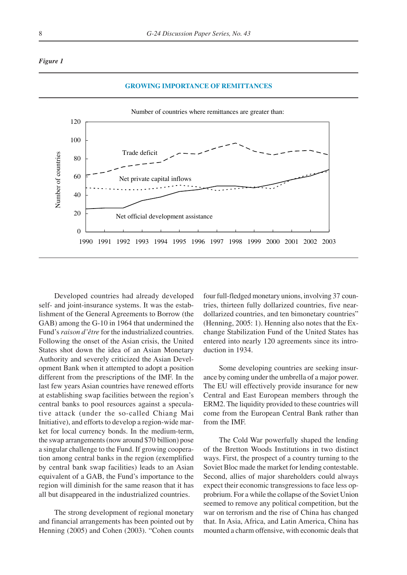#### *Figure 1*



Developed countries had already developed self- and joint-insurance systems. It was the establishment of the General Agreements to Borrow (the GAB) among the G-10 in 1964 that undermined the Fund's *raison d'être* for the industrialized countries. Following the onset of the Asian crisis, the United States shot down the idea of an Asian Monetary Authority and severely criticized the Asian Development Bank when it attempted to adopt a position different from the prescriptions of the IMF. In the last few years Asian countries have renewed efforts at establishing swap facilities between the region's central banks to pool resources against a speculative attack (under the so-called Chiang Mai Initiative), and efforts to develop a region-wide market for local currency bonds. In the medium-term, the swap arrangements (now around \$70 billion) pose a singular challenge to the Fund. If growing cooperation among central banks in the region (exemplified by central bank swap facilities) leads to an Asian equivalent of a GAB, the Fund's importance to the region will diminish for the same reason that it has all but disappeared in the industrialized countries.

The strong development of regional monetary and financial arrangements has been pointed out by Henning (2005) and Cohen (2003). "Cohen counts four full-fledged monetary unions, involving 37 countries, thirteen fully dollarized countries, five neardollarized countries, and ten bimonetary countries" (Henning, 2005: 1). Henning also notes that the Exchange Stabilization Fund of the United States has entered into nearly 120 agreements since its introduction in 1934.

Some developing countries are seeking insurance by coming under the umbrella of a major power. The EU will effectively provide insurance for new Central and East European members through the ERM2. The liquidity provided to these countries will come from the European Central Bank rather than from the IMF.

The Cold War powerfully shaped the lending of the Bretton Woods Institutions in two distinct ways. First, the prospect of a country turning to the Soviet Bloc made the market for lending contestable. Second, allies of major shareholders could always expect their economic transgressions to face less opprobrium. For a while the collapse of the Soviet Union seemed to remove any political competition, but the war on terrorism and the rise of China has changed that. In Asia, Africa, and Latin America, China has mounted a charm offensive, with economic deals that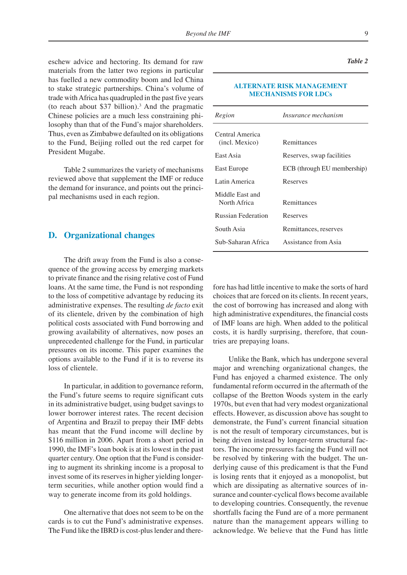eschew advice and hectoring. Its demand for raw materials from the latter two regions in particular has fuelled a new commodity boom and led China to stake strategic partnerships. China's volume of trade with Africa has quadrupled in the past five years (to reach about \$37 billion).3 And the pragmatic Chinese policies are a much less constraining philosophy than that of the Fund's major shareholders. Thus, even as Zimbabwe defaulted on its obligations to the Fund, Beijing rolled out the red carpet for President Mugabe.

Table 2 summarizes the variety of mechanisms reviewed above that supplement the IMF or reduce the demand for insurance, and points out the principal mechanisms used in each region.

### **D. Organizational changes**

The drift away from the Fund is also a consequence of the growing access by emerging markets to private finance and the rising relative cost of Fund loans. At the same time, the Fund is not responding to the loss of competitive advantage by reducing its administrative expenses. The resulting *de facto* exit of its clientele, driven by the combination of high political costs associated with Fund borrowing and growing availability of alternatives, now poses an unprecedented challenge for the Fund, in particular pressures on its income. This paper examines the options available to the Fund if it is to reverse its loss of clientele.

In particular, in addition to governance reform, the Fund's future seems to require significant cuts in its administrative budget, using budget savings to lower borrower interest rates. The recent decision of Argentina and Brazil to prepay their IMF debts has meant that the Fund income will decline by \$116 million in 2006. Apart from a short period in 1990, the IMF's loan book is at its lowest in the past quarter century. One option that the Fund is considering to augment its shrinking income is a proposal to invest some of its reserves in higher yielding longerterm securities, while another option would find a way to generate income from its gold holdings.

One alternative that does not seem to be on the cards is to cut the Fund's administrative expenses. The Fund like the IBRD is cost-plus lender and there-

#### **ALTERNATE RISK MANAGEMENT MECHANISMS FOR LDCs**

| Region                            | Insurance mechanism         |
|-----------------------------------|-----------------------------|
| Central America<br>(incl. Mexico) | Remittances                 |
| East Asia                         | Reserves, swap facilities   |
| East Europe                       | ECB (through EU membership) |
| Latin America                     | Reserves                    |
| Middle East and<br>North Africa   | Remittances                 |
| Russian Federation                | Reserves                    |
| South Asia                        | Remittances, reserves       |
| Sub-Saharan Africa                | Assistance from Asia        |

fore has had little incentive to make the sorts of hard choices that are forced on its clients. In recent years, the cost of borrowing has increased and along with high administrative expenditures, the financial costs of IMF loans are high. When added to the political costs, it is hardly surprising, therefore, that countries are prepaying loans.

Unlike the Bank, which has undergone several major and wrenching organizational changes, the Fund has enjoyed a charmed existence. The only fundamental reform occurred in the aftermath of the collapse of the Bretton Woods system in the early 1970s, but even that had very modest organizational effects. However, as discussion above has sought to demonstrate, the Fund's current financial situation is not the result of temporary circumstances, but is being driven instead by longer-term structural factors. The income pressures facing the Fund will not be resolved by tinkering with the budget. The underlying cause of this predicament is that the Fund is losing rents that it enjoyed as a monopolist, but which are dissipating as alternative sources of insurance and counter-cyclical flows become available to developing countries. Consequently, the revenue shortfalls facing the Fund are of a more permanent nature than the management appears willing to acknowledge. We believe that the Fund has little

*Table 2*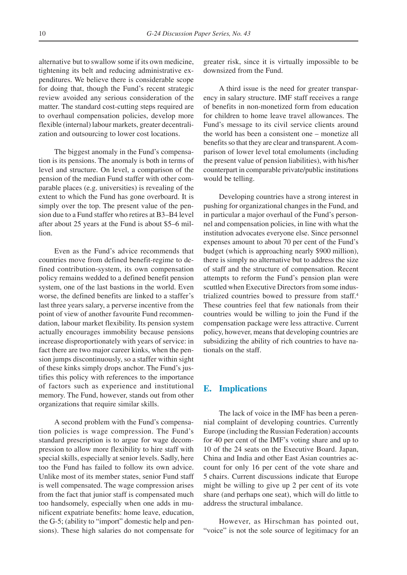alternative but to swallow some if its own medicine, tightening its belt and reducing administrative expenditures. We believe there is considerable scope for doing that, though the Fund's recent strategic review avoided any serious consideration of the matter. The standard cost-cutting steps required are to overhaul compensation policies, develop more flexible (internal) labour markets, greater decentralization and outsourcing to lower cost locations.

The biggest anomaly in the Fund's compensation is its pensions. The anomaly is both in terms of level and structure. On level, a comparison of the pension of the median Fund staffer with other comparable places (e.g. universities) is revealing of the extent to which the Fund has gone overboard. It is simply over the top. The present value of the pension due to a Fund staffer who retires at B3–B4 level after about 25 years at the Fund is about \$5–6 million.

Even as the Fund's advice recommends that countries move from defined benefit-regime to defined contribution-system, its own compensation policy remains wedded to a defined benefit pension system, one of the last bastions in the world. Even worse, the defined benefits are linked to a staffer's last three years salary, a perverse incentive from the point of view of another favourite Fund recommendation, labour market flexibility. Its pension system actually encourages immobility because pensions increase disproportionately with years of service: in fact there are two major career kinks, when the pension jumps discontinuously, so a staffer within sight of these kinks simply drops anchor. The Fund's justifies this policy with references to the importance of factors such as experience and institutional memory. The Fund, however, stands out from other organizations that require similar skills.

A second problem with the Fund's compensation policies is wage compression. The Fund's standard prescription is to argue for wage decompression to allow more flexibility to hire staff with special skills, especially at senior levels. Sadly, here too the Fund has failed to follow its own advice. Unlike most of its member states, senior Fund staff is well compensated. The wage compression arises from the fact that junior staff is compensated much too handsomely, especially when one adds in munificent expatriate benefits: home leave, education, the G-5; (ability to "import" domestic help and pensions). These high salaries do not compensate for

greater risk, since it is virtually impossible to be downsized from the Fund.

A third issue is the need for greater transparency in salary structure. IMF staff receives a range of benefits in non-monetized form from education for children to home leave travel allowances. The Fund's message to its civil service clients around the world has been a consistent one – monetize all benefits so that they are clear and transparent. A comparison of lower level total emoluments (including the present value of pension liabilities), with his/her counterpart in comparable private/public institutions would be telling.

Developing countries have a strong interest in pushing for organizational changes in the Fund, and in particular a major overhaul of the Fund's personnel and compensation policies, in line with what the institution advocates everyone else. Since personnel expenses amount to about 70 per cent of the Fund's budget (which is approaching nearly \$900 million), there is simply no alternative but to address the size of staff and the structure of compensation. Recent attempts to reform the Fund's pension plan were scuttled when Executive Directors from some industrialized countries bowed to pressure from staff.4 These countries feel that few nationals from their countries would be willing to join the Fund if the compensation package were less attractive. Current policy, however, means that developing countries are subsidizing the ability of rich countries to have nationals on the staff.

#### **E. Implications**

The lack of voice in the IMF has been a perennial complaint of developing countries. Currently Europe (including the Russian Federation) accounts for 40 per cent of the IMF's voting share and up to 10 of the 24 seats on the Executive Board. Japan, China and India and other East Asian countries account for only 16 per cent of the vote share and 5 chairs. Current discussions indicate that Europe might be willing to give up 2 per cent of its vote share (and perhaps one seat), which will do little to address the structural imbalance.

However, as Hirschman has pointed out, "voice" is not the sole source of legitimacy for an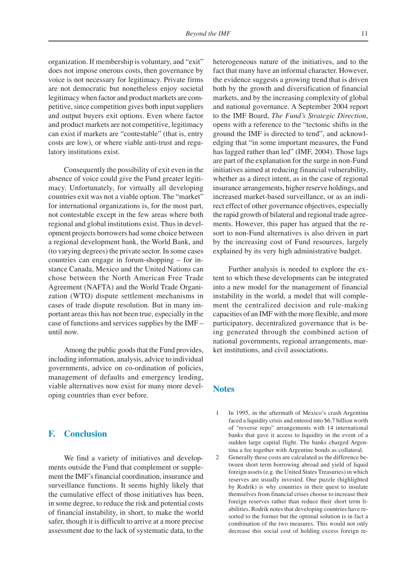organization. If membership is voluntary, and "exit" does not impose onerous costs, then governance by voice is not necessary for legitimacy. Private firms are not democratic but nonetheless enjoy societal legitimacy when factor and product markets are competitive, since competition gives both input suppliers and output buyers exit options. Even where factor and product markets are not competitive, legitimacy can exist if markets are "contestable" (that is, entry costs are low), or where viable anti-trust and regulatory institutions exist.

Consequently the possibility of exit even in the absence of voice could give the Fund greater legitimacy. Unfortunately, for virtually all developing countries exit was not a viable option. The "market" for international organizations is, for the most part, not contestable except in the few areas where both regional and global institutions exist. Thus in development projects borrowers had some choice between a regional development bank, the World Bank, and (to varying degrees) the private sector. In some cases countries can engage in forum-shopping – for instance Canada, Mexico and the United Nations can chose between the North American Free Trade Agreement (NAFTA) and the World Trade Organization (WTO) dispute settlement mechanisms in cases of trade dispute resolution. But in many important areas this has not been true, especially in the case of functions and services supplies by the IMF – until now.

Among the public goods that the Fund provides, including information, analysis, advice to individual governments, advice on co-ordination of policies, management of defaults and emergency lending, viable alternatives now exist for many more developing countries than ever before.

## **F. Conclusion**

We find a variety of initiatives and developments outside the Fund that complement or supplement the IMF's financial coordination, insurance and surveillance functions. It seems highly likely that the cumulative effect of those initiatives has been, in some degree, to reduce the risk and potential costs of financial instability, in short, to make the world safer, though it is difficult to arrive at a more precise assessment due to the lack of systematic data, to the heterogeneous nature of the initiatives, and to the fact that many have an informal character. However, the evidence suggests a growing trend that is driven both by the growth and diversification of financial markets, and by the increasing complexity of global and national governance. A September 2004 report to the IMF Board, *The Fund's Strategic Direction*, opens with a reference to the "tectonic shifts in the ground the IMF is directed to tend", and acknowledging that "in some important measures, the Fund has lagged rather than led" (IMF, 2004). Those lags are part of the explanation for the surge in non-Fund initiatives aimed at reducing financial vulnerability, whether as a direct intent, as in the case of regional insurance arrangements, higher reserve holdings, and increased market-based surveillance, or as an indirect effect of other governance objectives, especially the rapid growth of bilateral and regional trade agreements. However, this paper has argued that the resort to non-Fund alternatives is also driven in part by the increasing cost of Fund resources, largely explained by its very high administrative budget.

Further analysis is needed to explore the extent to which these developments can be integrated into a new model for the management of financial instability in the world, a model that will complement the centralized decision and rule-making capacities of an IMF with the more flexible, and more participatory, decentralized governance that is being generated through the combined action of national governments, regional arrangements, market institutions, and civil associations.

## **Notes**

- 1 In 1995, in the aftermath of Mexico's crash Argentina faced a liquidity crisis and entered into \$6.7 billion worth of "reverse repo" arrangements with 14 international banks that gave it access to liquidity in the event of a sudden large capital flight. The banks charged Argentina a fee together with Argentine bonds as collateral.
- 2 Generally these costs are calculated as the difference between short term borrowing abroad and yield of liquid foreign assets (e.g. the United States Treasuries) in which reserves are usually invested. One puzzle (highlighted by Rodrik) is why countries in their quest to insulate themselves from financial crises choose to increase their foreign reserves rather than reduce their short term liabilities. Rodrik notes that developing countries have resorted to the former but the optimal solution is in fact a combination of the two measures. This would not only decrease this social cost of holding excess foreign re-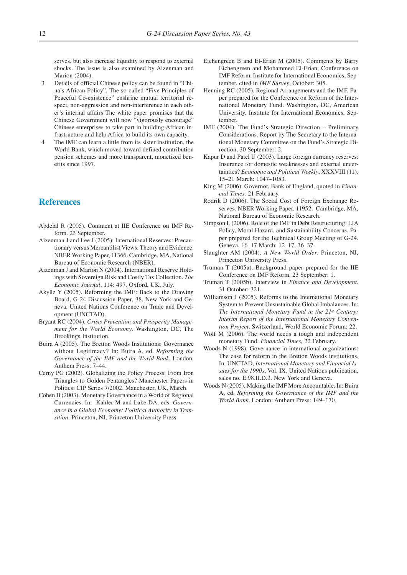serves, but also increase liquidity to respond to external shocks. The issue is also examined by Aizenman and Marion (2004).

- 3 Details of official Chinese policy can be found in "China's African Policy". The so-called "Five Principles of Peaceful Co-existence" enshrine mutual territorial respect, non-aggression and non-interference in each other's internal affairs The white paper promises that the Chinese Government will now "vigorously encourage" Chinese enterprises to take part in building African infrastructure and help Africa to build its own capacity.
- 4 The IMF can learn a little from its sister institution, the World Bank, which moved toward defined contribution pension schemes and more transparent, monetized benefits since 1997.

## **References**

- Abdelal R (2005). Comment at IIE Conference on IMF Reform. 23 September.
- Aizenman J and Lee J (2005). International Reserves: Precautionary versus Mercantilist Views, Theory and Evidence. NBER Working Paper, 11366. Cambridge, MA, National Bureau of Economic Research (NBER).
- Aizenman J and Marion N (2004). International Reserve Holdings with Sovereign Risk and Costly Tax Collection. *The Economic Journal*, 114: 497. Oxford, UK, July.
- Akyüz Y (2005). Reforming the IMF: Back to the Drawing Board, G-24 Discussion Paper, 38. New York and Geneva, United Nations Conference on Trade and Development (UNCTAD).
- Bryant RC (2004). *Crisis Prevention and Prosperity Management for the World Economy*. Washington, DC, The Brookings Institution.
- Buira A (2005). The Bretton Woods Institutions: Governance without Legitimacy? In: Buira A, ed. *Reforming the Governance of the IMF and the World Bank*. London, Anthem Press: 7–44.
- Cerny PG (2002). Globalizing the Policy Process: From Iron Triangles to Golden Pentangles? Manchester Papers in Politics: CIP Series 7/2002. Manchester, UK, March.
- Cohen B (2003). Monetary Governance in a World of Regional Currencies. In: Kahler M and Lake DA, eds. *Governance in a Global Economy: Political Authority in Transition*. Princeton, NJ, Princeton University Press.
- Eichengreen B and El-Erian M (2005). Comments by Barry Eichengreen and Mohammed El-Erian, Conference on IMF Reform, Institute for International Economics, September, cited in *IMF Survey*, October: 305.
- Henning RC (2005). Regional Arrangements and the IMF. Paper prepared for the Conference on Reform of the International Monetary Fund. Washington, DC, American University, Institute for International Economics, September.
- IMF (2004). The Fund's Strategic Direction Preliminary Considerations. Report by The Secretary to the International Monetary Committee on the Fund's Strategic Direction, 30 September: 2.
- Kapur D and Patel U (2003). Large foreign currency reserves: Insurance for domestic weaknesses and external uncertainties? *Economic and Political Weekly*, XXXVIII (11). 15–21 March: 1047–1053.
- King M (2006). Governor, Bank of England, quoted in *Financial Times,* 21 February.
- Rodrik D (2006). The Social Cost of Foreign Exchange Reserves. NBER Working Paper, 11952. Cambridge, MA, National Bureau of Economic Research.
- Simpson L (2006). Role of the IMF in Debt Restructuring: LIA Policy, Moral Hazard, and Sustainability Concerns. Paper prepared for the Technical Group Meeting of G-24. Geneva, 16–17 March: 12–17, 36–37.
- Slaughter AM (2004). *A New World Order*. Princeton, NJ, Princeton University Press.
- Truman T (2005a). Background paper prepared for the IIE Conference on IMF Reform. 23 September: 1.
- Truman T (2005b). Interview in *Finance and Development*. 31 October: 321.
- Williamson J (2005). Reforms to the International Monetary System to Prevent Unsustainable Global Imbalances. In: *The International Monetary Fund in the 21st Century: Interim Report of the International Monetary Convention Project*. Switzerland, World Economic Forum: 22.
- Wolf M (2006). The world needs a tough and independent monetary Fund. *Financial Times,* 22 February.
- Woods N (1998). Governance in international organizations: The case for reform in the Bretton Woods institutions. In: UNCTAD, *International Monetary and Financial Issues for the 1990s*, Vol. IX. United Nations publication, sales no. E.98.II.D.3. New York and Geneva.
- Woods N (2005). Making the IMF More Accountable. In: Buira A, ed. *Reforming the Governance of the IMF and the World Bank*. London: Anthem Press: 149–170.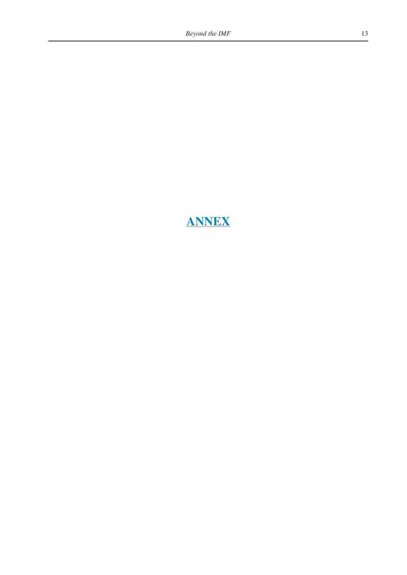# **ANNEX**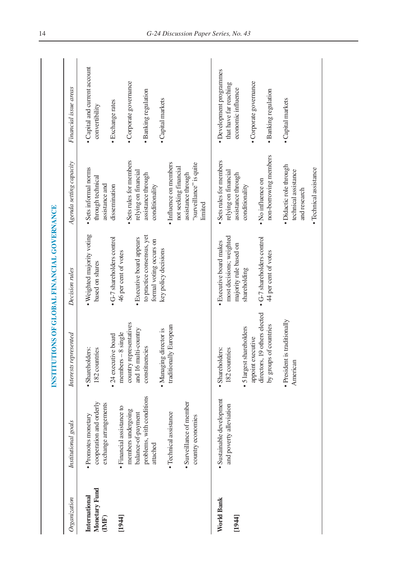|                                         |                                                                                                                                                                                           |                                                                                                                                                                                            | INSTITUTIONS OF GLOBAL FINANCIAL GOVERNANCE                                                                                                         |                                                                                                                                                                                                                                   |                                                                                                                                                 |
|-----------------------------------------|-------------------------------------------------------------------------------------------------------------------------------------------------------------------------------------------|--------------------------------------------------------------------------------------------------------------------------------------------------------------------------------------------|-----------------------------------------------------------------------------------------------------------------------------------------------------|-----------------------------------------------------------------------------------------------------------------------------------------------------------------------------------------------------------------------------------|-------------------------------------------------------------------------------------------------------------------------------------------------|
| Organization                            | Institutional goals                                                                                                                                                                       | Interests represented                                                                                                                                                                      | Decision rules                                                                                                                                      | Agenda setting capacity                                                                                                                                                                                                           | Financial issue areas                                                                                                                           |
| Monetary Fund<br>International<br>(IMF) | cooperation and orderly<br>exchange arrangements<br>· Promotes monetary                                                                                                                   | • 24 executive board<br>· Shareholders:<br>182 countries                                                                                                                                   | . Weighted majority voting<br>• G-7 shareholders control<br>based on shares                                                                         | · Sets informal norms<br>through technical<br>assistance and<br>dissemination                                                                                                                                                     | • Capital and current account<br>convertibility                                                                                                 |
| [1944]                                  | problems, with conditions<br>· Surveillance of member<br>· Financial assistance to<br>members undergoing<br>· Technical assistance<br>balance-of-payment<br>country economies<br>attached | country representatives<br>traditionally European<br>and 16 multi-country<br>· Managing director is<br>$members - 8 single$<br>constituencies                                              | to practice consensus, yet<br>· Executive board appears<br>formal voting occurs on<br>key policy decisions<br>46 per cent of votes                  | • Sets rules for members<br>· Influence on members<br>"surveillance" is quite<br>not seeking financial<br>relying on financial<br>assistance through<br>assistance through<br>conditionality<br>limited                           | · Corporate governance<br>· Banking regulation<br>· Capital markets<br>· Exchange rates                                                         |
| World Bank<br>[1944]                    | · Sustainable development<br>and poverty alleviation                                                                                                                                      | directors, 19 others elected<br>is traditionally<br>by groups of countries<br>• 5 largest shareholders<br>appoint executive<br>· Shareholders:<br>182 countries<br>· President<br>American | most decisions; weighted<br>• G-7 shareholders control<br>· Executive board makes<br>majority rule based on<br>44 per cent of votes<br>shareholding | non-borrowing members<br>Sets rules for members<br>· Didactic role through<br>· Technical assistance<br>technical assistance<br>relying on financial<br>assistance through<br>• No influence on<br>conditionality<br>and research | · Development programmes<br>· Corporate governance<br>that have far reaching<br>economic influence<br>· Banking regulation<br>· Capital markets |
|                                         |                                                                                                                                                                                           |                                                                                                                                                                                            |                                                                                                                                                     |                                                                                                                                                                                                                                   |                                                                                                                                                 |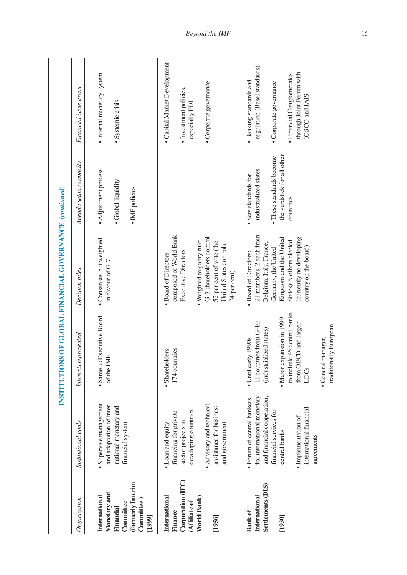|                                                                                                      |                                                                                                                                                                                                 | INSTITUTIONS OF GLOBAL FINANCIAL GOVERNANCE (continued)                                                                                                                                                                   |                                                                                                                                                                                                                |                                                                                                                       |                                                                                                                                                              |
|------------------------------------------------------------------------------------------------------|-------------------------------------------------------------------------------------------------------------------------------------------------------------------------------------------------|---------------------------------------------------------------------------------------------------------------------------------------------------------------------------------------------------------------------------|----------------------------------------------------------------------------------------------------------------------------------------------------------------------------------------------------------------|-----------------------------------------------------------------------------------------------------------------------|--------------------------------------------------------------------------------------------------------------------------------------------------------------|
| Organization                                                                                         | Institutional goals                                                                                                                                                                             | Interests represented                                                                                                                                                                                                     | Decision rules                                                                                                                                                                                                 | Agenda setting capacity                                                                                               | Financial issue areas                                                                                                                                        |
| (formerly Interim<br>Monetary and<br>International<br>Committee)<br>Committee<br>Financial<br>[1999] | Supervise management<br>and adaptation of inter-<br>national monetary and<br>financial system                                                                                                   | · Same as Executive Board<br>of the IMF                                                                                                                                                                                   | • Consensus but weighted<br>in favour of G-7                                                                                                                                                                   | • Adjustment process<br>· Global liquidity<br>• IMF policies                                                          | · Internal monetary system<br>· Systemic crisis                                                                                                              |
| Corporation (IFC)<br>International<br>World Bank)<br>(Affiliate of<br>Finance<br>[1956]              | • Advisory and technical<br>assistance for business<br>developing countries<br>financing for private<br>sector projects in<br>• Loan and equity<br>and government                               | · Shareholders:<br>174 countries                                                                                                                                                                                          | composed of World Bank<br>G-7 shareholders control<br>· Weighted majority rule;<br>52 per cent of vote (the<br>United States controls<br><b>Executive Directors</b><br>· Board of Directors<br>24 per cent)    |                                                                                                                       | · Capital Market Development<br>· Corporate governance<br>· Investment policies,<br>especially FDI                                                           |
| Settlements (BIS)<br>International<br><b>Bank</b> of<br>[1930]                                       | for international monetary<br>and financial cooperation,<br>Forum of central bankers<br>international financial<br>financial services for<br>· Implementation of<br>central banks<br>agreements | to include 45 central banks<br>· Major expansion in 1999<br>11 countries from G-10<br>from OECD and larger<br>ally European<br>(industrialized states)<br>· General manager,<br>• Until early 1990s<br>traditiona<br>LDCs | 21 members. 2 each from<br>Kingdom and the United<br>(currently no developing<br>States); 9 others elected<br>Belgium, Italy, France,<br>country on the board)<br>Germany, the United<br>· Board of Directors: | the yardstick for all other<br>• These standards become<br>industrialized states<br>· Sets standards for<br>countries | regulation (Basel standards)<br>through Joint Forum with<br>· Financial Conglomerates<br>• Banking standards and<br>· Corporate governance<br>IOSCO and IAIS |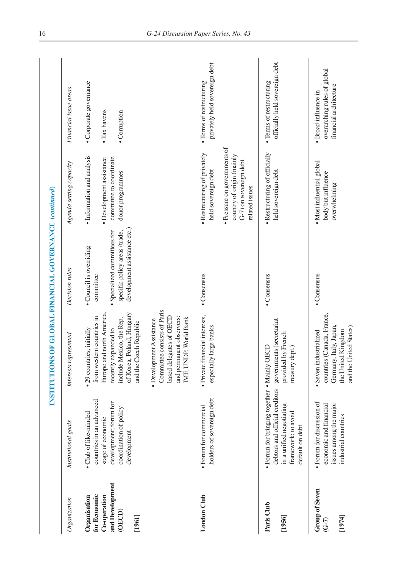|                                                                                     |                                                                                                                                                     |                                                                                                                                                                                                                                                                                                                                           | INSTITUTIONS OF GLOBAL FINANCIAL GOVERNANCE (continued)                                                                               |                                                                                                                                                              |                                                                               |
|-------------------------------------------------------------------------------------|-----------------------------------------------------------------------------------------------------------------------------------------------------|-------------------------------------------------------------------------------------------------------------------------------------------------------------------------------------------------------------------------------------------------------------------------------------------------------------------------------------------|---------------------------------------------------------------------------------------------------------------------------------------|--------------------------------------------------------------------------------------------------------------------------------------------------------------|-------------------------------------------------------------------------------|
| Organization                                                                        | Institutional goals                                                                                                                                 | Interests represented                                                                                                                                                                                                                                                                                                                     | Decision rules                                                                                                                        | Agenda setting capacity                                                                                                                                      | Financial issue areas                                                         |
| and Development<br>for Economic<br>Co-operation<br>Organisation<br>(OECD)<br>[1961] | countries in an advanced<br>development; forum for<br>coordination of policy<br>• Club of like-minded<br>stage of economic<br>development           | Committee consists of Paris<br>Europe and north America,<br>of Korea, Poland, Hungary<br>from western countries in<br>based delegates of OECD<br>and permanent observers:<br>IMF, UNDP, World Bank<br>include Mexico, the Rep.<br>· Development Assistance<br>and the Czech Republic<br>· 29 countries; initially<br>recently expanded to | development assistance etc.)<br>specific policy areas (trade,<br>• Specialized committees for<br>• Council is overriding<br>committee | • Information and analysis<br>committee to coordinate<br>· Development assistance<br>donor programmes                                                        | · Corporate governance<br>• Tax havens<br>• Corruption                        |
| London Club                                                                         | holders of sovereign debt<br>· Forum for commercial                                                                                                 | · Private financial interests,<br>especially large banks                                                                                                                                                                                                                                                                                  | • Consensus                                                                                                                           | • Pressure on governments of<br>· Restructuring of privately<br>country of origin (mainly<br>G-7) on sovereign debt<br>held sovereign debt<br>related issues | privately held sovereign debt<br>· Terms of restructuring                     |
| Paris Club<br>[1956]                                                                | · Forum for bringing together • Mainly OECD<br>debtors and official creditors<br>in a unified negotiating<br>framework; to avoid<br>default on debt | governments (secretariat<br>provided by French<br>treasury dept.)                                                                                                                                                                                                                                                                         | • Consensus                                                                                                                           | · Restructuring of officially<br>held sovereign debt                                                                                                         | officially held sovereign debt<br>· Terms of restructuring                    |
| <b>Group of Seven</b><br>[1974]<br>$\widetilde{G}$ -7)                              | • Forum for discussion of<br>issues among the major<br>economic and financial<br>industrial countries                                               | countries (Canada, France,<br>Germany, Italy, Japan,<br>and the United States)<br>the United Kingdom<br>· Seven industrialized                                                                                                                                                                                                            | • Consensus                                                                                                                           | · Most influential global<br>body but influence<br>overwhelming                                                                                              | overarching rules of global<br>financial architecture<br>· Broad influence in |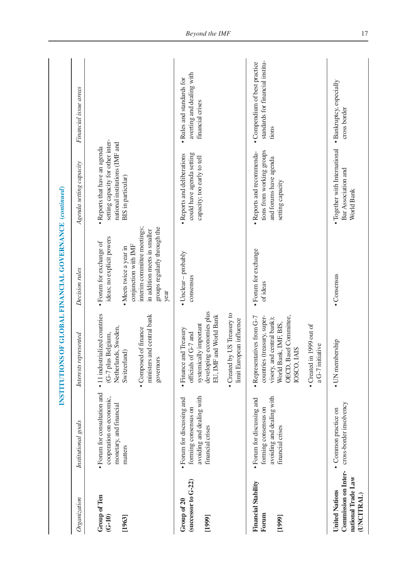|                                                                                          |                                                                                                     | INSTITUTION                                                                                                                                                              | <b>SOF GLOBAL FINANCIAL GOVERNANCE (continued)</b>                                                                                                     |                                                                                                      |                                                                            |
|------------------------------------------------------------------------------------------|-----------------------------------------------------------------------------------------------------|--------------------------------------------------------------------------------------------------------------------------------------------------------------------------|--------------------------------------------------------------------------------------------------------------------------------------------------------|------------------------------------------------------------------------------------------------------|----------------------------------------------------------------------------|
| Organization                                                                             | Institutional goals                                                                                 | Interests represented                                                                                                                                                    | Decision rules                                                                                                                                         | Agenda setting capacity                                                                              | Financial issue areas                                                      |
| Group of Ten<br>$(G-10)$                                                                 | · Forum for consultation and<br>cooperation on economic,<br>monetary, and financial                 | · 11 industrialized countries<br>Netherlands, Sweden,<br>(G-7 plus Belgium,                                                                                              | ideas; no explicit powers<br>· Forum for exchange of                                                                                                   | setting capacity for other inter-<br>national institutions (IMF and<br>• Reports that have an agenda |                                                                            |
| [1963]                                                                                   | matters                                                                                             | ministers and central bank<br>· Composed of finance<br>Switzerland)<br>governors                                                                                         | interim committee meetings;<br>groups regularly through the<br>in addition meets in smaller<br>conjunction with IMF<br>· Meets twice a year in<br>year | BIS in particular)                                                                                   |                                                                            |
| (successor to $G-22$ )<br>Group of 20<br>[1999]                                          | avoiding and dealing with<br>· Forum for discussing and<br>forming consensus on<br>financial crises | developing economies plus<br>EU, IMF and World Bank<br>systemically important<br>· Finance and Treasury<br>officials of G-7 and                                          | • Unclear - probably<br>consensus                                                                                                                      | could have agenda setting<br>· Reports and deliberations<br>capacity; too early to tell              | averting and dealing with<br>• Rules and standards for<br>financial crises |
|                                                                                          |                                                                                                     | by US Treasury to<br>limit European influence<br>• Created                                                                                                               |                                                                                                                                                        |                                                                                                      |                                                                            |
| <b>Financial Stability</b><br>Forum<br>[1999]                                            | avoiding and dealing with<br>· Forum for discussing and<br>forming consensus on<br>financial crises | Basel Committee,<br>countries (treasury, super-<br>• Representatives from G-7<br>visory, and central bank);<br>World Bank, IMF, BIS,<br><b>IAIS</b><br>IOSCO,<br>OECD, I | · Forum for exchange<br>of ideas                                                                                                                       | tions from working groups<br>· Reports and recommenda-<br>and forums have agenda<br>setting capacity | standards for financial institu-<br>• Compendium of best practice<br>tions |
|                                                                                          |                                                                                                     | in 1999 out of<br>a G-7 initiative<br>• Created                                                                                                                          |                                                                                                                                                        |                                                                                                      |                                                                            |
| <b>Commission on Inter-</b><br>national Trade Law<br><b>United Nations</b><br>(UNCITRAL) | cross-border insolvency<br>• Common practice on                                                     | • UN membership                                                                                                                                                          | • Consensus                                                                                                                                            | · Together with International<br>Bar Association and<br>World Bank                                   | · Bankruptcy, especially<br>cross border                                   |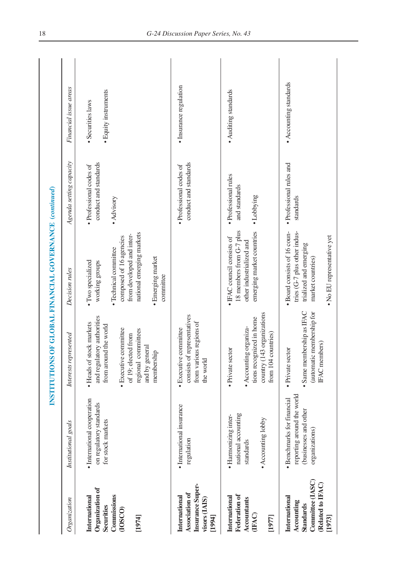|                                                                                                    |                                                                                                     | INSTITUTION                                                                                                                                                                               | IS OF GLOBAL FINANCIAL GOVERNANCE (continued)                                                                                                                                       |                                                                |                                           |
|----------------------------------------------------------------------------------------------------|-----------------------------------------------------------------------------------------------------|-------------------------------------------------------------------------------------------------------------------------------------------------------------------------------------------|-------------------------------------------------------------------------------------------------------------------------------------------------------------------------------------|----------------------------------------------------------------|-------------------------------------------|
| Organization                                                                                       | Institutional goals                                                                                 | Interests represented                                                                                                                                                                     | Decision rules                                                                                                                                                                      | Agenda setting capacity                                        | Financial issue areas                     |
| Organization of<br>Commissions<br>International<br>Securities<br>(IOSCO)<br>[1974]                 | · International cooperation<br>on regulatory standards<br>for stock markets                         | and regulatory authorities<br>• Heads of stock markets<br>from around the world<br>· Executive committee<br>committees<br>of 19; elected from<br>and by general<br>membership<br>regional | national emerging markets<br>from developed and inter-<br>composed of 16 agencies<br>· Technical committee<br>· Emerging market<br>· Two specialized<br>working groups<br>committee | conduct and standards<br>· Professional codes of<br>• Advisory | · Equity instruments<br>· Securities laws |
| Insurance Super-<br>Association of<br>International<br>visors (IAIS)<br>[1994]                     | · International insurance<br>regulation                                                             | consists of representatives<br>from various regions of<br>· Executive committee<br>the world                                                                                              |                                                                                                                                                                                     | conduct and standards<br>· Professional codes of               | · Insurance regulation                    |
| Federation of<br>International<br><b>Accountants</b><br>(IFAC)<br>[1977]                           | national accounting<br>· Harmonizing inter-<br>• Accounting lobby<br>standards                      | (143 organizations<br>tions recognized in home<br>· Accounting organiza-<br>from 104 countries)<br>· Private sector<br>country                                                            | 18 members from G-7 plus<br>emerging market countries<br>• IFAC council consists of<br>other industrialized and                                                                     | · Professional rules<br>and standards<br>• Lobbying            | • Auditing standards                      |
| Committee (IASC)<br>(Related to IFAC)<br>International<br>Accounting<br><b>Standards</b><br>[1973] | reporting around the world<br>· Benchmarks for financial<br>(businesses and other<br>organizations) | Same membership as IFAC<br>(automatic membership for<br><b>IFAC</b> members)<br>· Private sector                                                                                          | · Board consists of 16 coun-<br>tries (G-7 plus other indus-<br>· No EU representative yet<br>trialized and emerging<br>market countries)                                           | · Professional rules and<br>standards                          | • Accounting standards                    |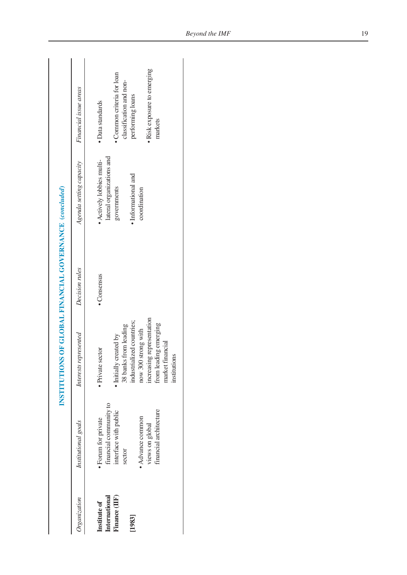|                                |                                                 | INSTITUTIONS OF GLOBAL FINANCIAL GOVERNANCE (concluded) |                |                                          |                                             |
|--------------------------------|-------------------------------------------------|---------------------------------------------------------|----------------|------------------------------------------|---------------------------------------------|
| Organization                   | Institutional goals                             | Interests represented                                   | Decision rules | Agenda setting capacity                  | Financial issue areas                       |
| Institute of                   | · Forum for private                             | · Private sector                                        | • Consensus    | • Actively lobbies multi-                | · Data standards                            |
| International<br>Finance (IIF) | financial community to<br>interface with public | · Initially created by                                  |                | lateral organizations and<br>governments | • Common criteria for loan                  |
| [1983]                         | sector                                          | industrialized countries;<br>38 banks from leading      |                | • Informational and                      | classification and non-<br>performing loans |
|                                | • Advance common                                | now 300 strong with                                     |                | coordination                             |                                             |
|                                | financial architecture<br>views on global       | increasing representation<br>from leading emerging      |                |                                          | · Risk exposure to emerging<br>markets      |
|                                |                                                 | market financial<br>institutions                        |                |                                          |                                             |
|                                |                                                 |                                                         |                |                                          |                                             |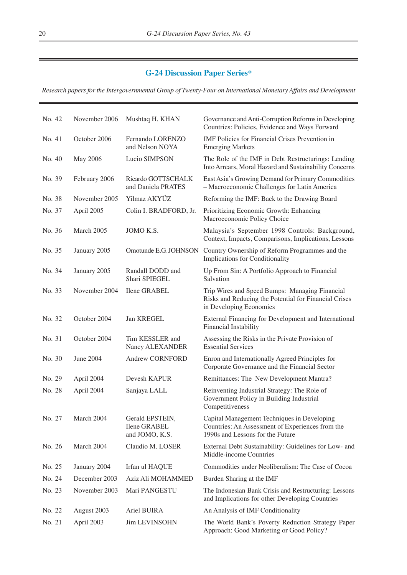## **G-24 Discussion Paper Series\***

*Research papers for the Intergovernmental Group of Twenty-Four on International Monetary Affairs and Development*

| No. 42 | November 2006 | Mushtaq H. KHAN                                          | Governance and Anti-Corruption Reforms in Developing<br>Countries: Policies, Evidence and Ways Forward                              |
|--------|---------------|----------------------------------------------------------|-------------------------------------------------------------------------------------------------------------------------------------|
| No. 41 | October 2006  | Fernando LORENZO<br>and Nelson NOYA                      | IMF Policies for Financial Crises Prevention in<br><b>Emerging Markets</b>                                                          |
| No. 40 | May 2006      | Lucio SIMPSON                                            | The Role of the IMF in Debt Restructurings: Lending<br>Into Arrears, Moral Hazard and Sustainability Concerns                       |
| No. 39 | February 2006 | Ricardo GOTTSCHALK<br>and Daniela PRATES                 | East Asia's Growing Demand for Primary Commodities<br>- Macroeconomic Challenges for Latin America                                  |
| No. 38 | November 2005 | Yilmaz AKYÜZ                                             | Reforming the IMF: Back to the Drawing Board                                                                                        |
| No. 37 | April 2005    | Colin I. BRADFORD, Jr.                                   | Prioritizing Economic Growth: Enhancing<br>Macroeconomic Policy Choice                                                              |
| No. 36 | March 2005    | JOMO K.S.                                                | Malaysia's September 1998 Controls: Background,<br>Context, Impacts, Comparisons, Implications, Lessons                             |
| No. 35 | January 2005  | Omotunde E.G. JOHNSON                                    | Country Ownership of Reform Programmes and the<br>Implications for Conditionality                                                   |
| No. 34 | January 2005  | Randall DODD and<br>Shari SPIEGEL                        | Up From Sin: A Portfolio Approach to Financial<br>Salvation                                                                         |
| No. 33 | November 2004 | Ilene GRABEL                                             | Trip Wires and Speed Bumps: Managing Financial<br>Risks and Reducing the Potential for Financial Crises<br>in Developing Economies  |
| No. 32 | October 2004  | Jan KREGEL                                               | External Financing for Development and International<br>Financial Instability                                                       |
| No. 31 | October 2004  | Tim KESSLER and<br>Nancy ALEXANDER                       | Assessing the Risks in the Private Provision of<br><b>Essential Services</b>                                                        |
| No. 30 | June 2004     | Andrew CORNFORD                                          | Enron and Internationally Agreed Principles for<br>Corporate Governance and the Financial Sector                                    |
| No. 29 | April 2004    | Devesh KAPUR                                             | Remittances: The New Development Mantra?                                                                                            |
| No. 28 | April 2004    | Sanjaya LALL                                             | Reinventing Industrial Strategy: The Role of<br>Government Policy in Building Industrial<br>Competitiveness                         |
| No. 27 | March 2004    | Gerald EPSTEIN,<br><b>Ilene GRABEL</b><br>and JOMO, K.S. | Capital Management Techniques in Developing<br>Countries: An Assessment of Experiences from the<br>1990s and Lessons for the Future |
| No. 26 | March 2004    | Claudio M. LOSER                                         | External Debt Sustainability: Guidelines for Low- and<br>Middle-income Countries                                                    |
| No. 25 | January 2004  | Irfan ul HAQUE                                           | Commodities under Neoliberalism: The Case of Cocoa                                                                                  |
| No. 24 | December 2003 | Aziz Ali MOHAMMED                                        | Burden Sharing at the IMF                                                                                                           |
| No. 23 | November 2003 | Mari PANGESTU                                            | The Indonesian Bank Crisis and Restructuring: Lessons<br>and Implications for other Developing Countries                            |
| No. 22 | August 2003   | Ariel BUIRA                                              | An Analysis of IMF Conditionality                                                                                                   |
| No. 21 | April 2003    | <b>Jim LEVINSOHN</b>                                     | The World Bank's Poverty Reduction Strategy Paper<br>Approach: Good Marketing or Good Policy?                                       |